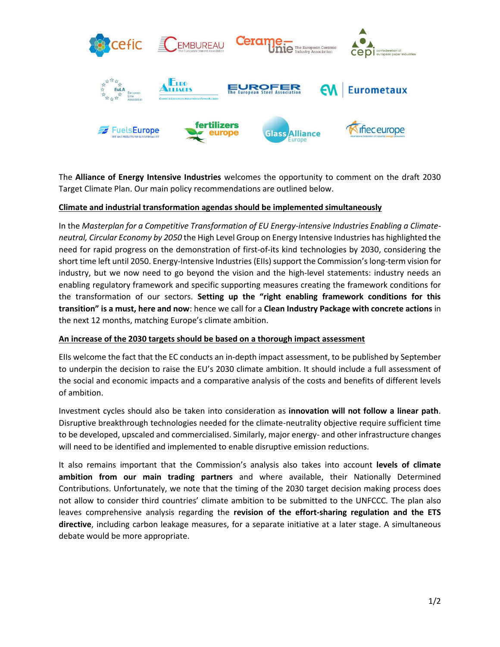

The **Alliance of Energy Intensive Industries** welcomes the opportunity to comment on the draft 2030 Target Climate Plan. Our main policy recommendations are outlined below.

# **Climate and industrial transformation agendas should be implemented simultaneously**

In the *Masterplan for a Competitive Transformation of EU Energy-intensive Industries Enabling a Climateneutral, Circular Economy by 2050* the High Level Group on Energy Intensive Industries has highlighted the need for rapid progress on the demonstration of first-of-its kind technologies by 2030, considering the short time left until 2050. Energy-Intensive Industries (EIIs) support the Commission's long-term vision for industry, but we now need to go beyond the vision and the high-level statements: industry needs an enabling regulatory framework and specific supporting measures creating the framework conditions for the transformation of our sectors. **Setting up the "right enabling framework conditions for this transition" is a must, here and now**: hence we call for a **Clean Industry Package with concrete actions** in the next 12 months, matching Europe's climate ambition.

## **An increase of the 2030 targets should be based on a thorough impact assessment**

EIIs welcome the fact that the EC conducts an in-depth impact assessment, to be published by September to underpin the decision to raise the EU's 2030 climate ambition. It should include a full assessment of the social and economic impacts and a comparative analysis of the costs and benefits of different levels of ambition.

Investment cycles should also be taken into consideration as **innovation will not follow a linear path**. Disruptive breakthrough technologies needed for the climate-neutrality objective require sufficient time to be developed, upscaled and commercialised. Similarly, major energy- and other infrastructure changes will need to be identified and implemented to enable disruptive emission reductions.

It also remains important that the Commission's analysis also takes into account **levels of climate ambition from our main trading partners** and where available, their Nationally Determined Contributions. Unfortunately, we note that the timing of the 2030 target decision making process does not allow to consider third countries' climate ambition to be submitted to the UNFCCC. The plan also leaves comprehensive analysis regarding the **revision of the effort-sharing regulation and the ETS directive**, including carbon leakage measures, for a separate initiative at a later stage. A simultaneous debate would be more appropriate.